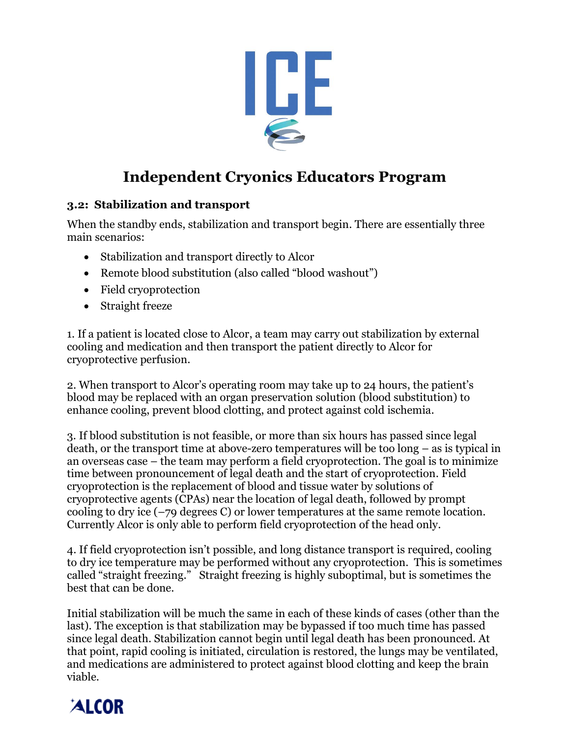

# **Independent Cryonics Educators Program**

### **3.2: Stabilization and transport**

When the standby ends, stabilization and transport begin. There are essentially three main scenarios:

- Stabilization and transport directly to Alcor
- Remote blood substitution (also called "blood washout")
- Field cryoprotection
- Straight freeze

1. If a patient is located close to Alcor, a team may carry out stabilization by external cooling and medication and then transport the patient directly to Alcor for cryoprotective perfusion.

2. When transport to Alcor's operating room may take up to 24 hours, the patient's blood may be replaced with an organ preservation solution (blood substitution) to enhance cooling, prevent blood clotting, and protect against cold ischemia.

3. If blood substitution is not feasible, or more than six hours has passed since legal death, or the transport time at above-zero temperatures will be too long – as is typical in an overseas case – the team may perform a field cryoprotection. The goal is to minimize time between pronouncement of legal death and the start of cryoprotection. Field cryoprotection is the replacement of blood and tissue water by solutions of cryoprotective agents (CPAs) near the location of legal death, followed by prompt cooling to dry ice (–79 degrees C) or lower temperatures at the same remote location. Currently Alcor is only able to perform field cryoprotection of the head only.

4. If field cryoprotection isn't possible, and long distance transport is required, cooling to dry ice temperature may be performed without any cryoprotection. This is sometimes called "straight freezing." Straight freezing is highly suboptimal, but is sometimes the best that can be done.

Initial stabilization will be much the same in each of these kinds of cases (other than the last). The exception is that stabilization may be bypassed if too much time has passed since legal death. Stabilization cannot begin until legal death has been pronounced. At that point, rapid cooling is initiated, circulation is restored, the lungs may be ventilated, and medications are administered to protect against blood clotting and keep the brain viable.

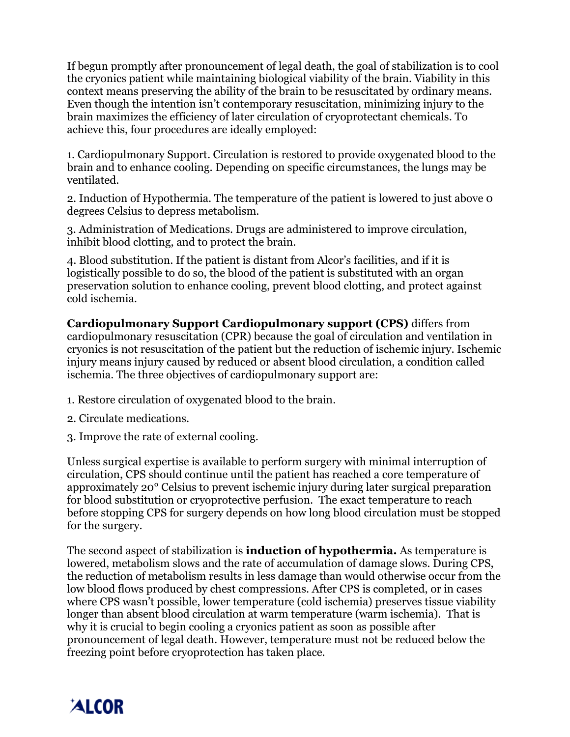If begun promptly after pronouncement of legal death, the goal of stabilization is to cool the cryonics patient while maintaining biological viability of the brain. Viability in this context means preserving the ability of the brain to be resuscitated by ordinary means. Even though the intention isn't contemporary resuscitation, minimizing injury to the brain maximizes the efficiency of later circulation of cryoprotectant chemicals. To achieve this, four procedures are ideally employed:

1. Cardiopulmonary Support. Circulation is restored to provide oxygenated blood to the brain and to enhance cooling. Depending on specific circumstances, the lungs may be ventilated.

2. Induction of Hypothermia. The temperature of the patient is lowered to just above 0 degrees Celsius to depress metabolism.

3. Administration of Medications. Drugs are administered to improve circulation, inhibit blood clotting, and to protect the brain.

4. Blood substitution. If the patient is distant from Alcor's facilities, and if it is logistically possible to do so, the blood of the patient is substituted with an organ preservation solution to enhance cooling, prevent blood clotting, and protect against cold ischemia.

**Cardiopulmonary Support Cardiopulmonary support (CPS)** differs from cardiopulmonary resuscitation (CPR) because the goal of circulation and ventilation in cryonics is not resuscitation of the patient but the reduction of ischemic injury. Ischemic injury means injury caused by reduced or absent blood circulation, a condition called ischemia. The three objectives of cardiopulmonary support are:

- 1. Restore circulation of oxygenated blood to the brain.
- 2. Circulate medications.
- 3. Improve the rate of external cooling.

Unless surgical expertise is available to perform surgery with minimal interruption of circulation, CPS should continue until the patient has reached a core temperature of approximately 20° Celsius to prevent ischemic injury during later surgical preparation for blood substitution or cryoprotective perfusion. The exact temperature to reach before stopping CPS for surgery depends on how long blood circulation must be stopped for the surgery.

The second aspect of stabilization is **induction of hypothermia.** As temperature is lowered, metabolism slows and the rate of accumulation of damage slows. During CPS, the reduction of metabolism results in less damage than would otherwise occur from the low blood flows produced by chest compressions. After CPS is completed, or in cases where CPS wasn't possible, lower temperature (cold ischemia) preserves tissue viability longer than absent blood circulation at warm temperature (warm ischemia). That is why it is crucial to begin cooling a cryonics patient as soon as possible after pronouncement of legal death. However, temperature must not be reduced below the freezing point before cryoprotection has taken place.

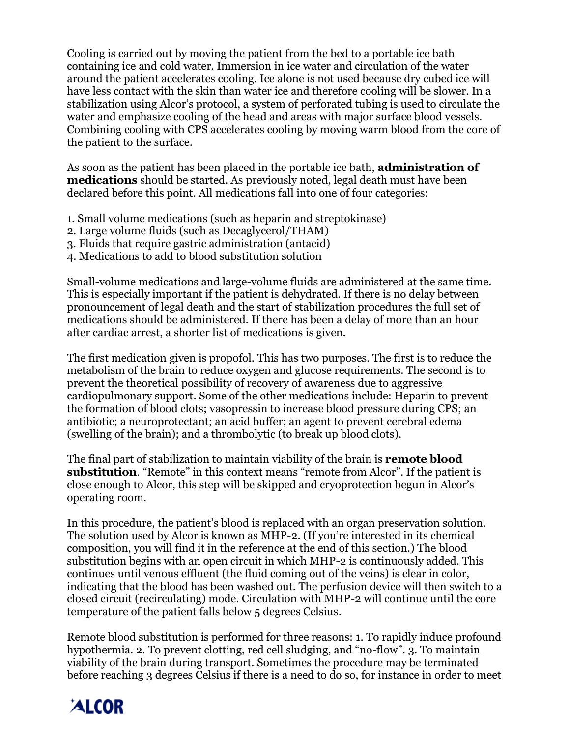Cooling is carried out by moving the patient from the bed to a portable ice bath containing ice and cold water. Immersion in ice water and circulation of the water around the patient accelerates cooling. Ice alone is not used because dry cubed ice will have less contact with the skin than water ice and therefore cooling will be slower. In a stabilization using Alcor's protocol, a system of perforated tubing is used to circulate the water and emphasize cooling of the head and areas with major surface blood vessels. Combining cooling with CPS accelerates cooling by moving warm blood from the core of the patient to the surface.

As soon as the patient has been placed in the portable ice bath, **administration of medications** should be started. As previously noted, legal death must have been declared before this point. All medications fall into one of four categories:

- 1. Small volume medications (such as heparin and streptokinase)
- 2. Large volume fluids (such as Decaglycerol/THAM)
- 3. Fluids that require gastric administration (antacid)
- 4. Medications to add to blood substitution solution

Small-volume medications and large-volume fluids are administered at the same time. This is especially important if the patient is dehydrated. If there is no delay between pronouncement of legal death and the start of stabilization procedures the full set of medications should be administered. If there has been a delay of more than an hour after cardiac arrest, a shorter list of medications is given.

The first medication given is propofol. This has two purposes. The first is to reduce the metabolism of the brain to reduce oxygen and glucose requirements. The second is to prevent the theoretical possibility of recovery of awareness due to aggressive cardiopulmonary support. Some of the other medications include: Heparin to prevent the formation of blood clots; vasopressin to increase blood pressure during CPS; an antibiotic; a neuroprotectant; an acid buffer; an agent to prevent cerebral edema (swelling of the brain); and a thrombolytic (to break up blood clots).

The final part of stabilization to maintain viability of the brain is **remote blood substitution**. "Remote" in this context means "remote from Alcor". If the patient is close enough to Alcor, this step will be skipped and cryoprotection begun in Alcor's operating room.

In this procedure, the patient's blood is replaced with an organ preservation solution. The solution used by Alcor is known as MHP-2. (If you're interested in its chemical composition, you will find it in the reference at the end of this section.) The blood substitution begins with an open circuit in which MHP-2 is continuously added. This continues until venous effluent (the fluid coming out of the veins) is clear in color, indicating that the blood has been washed out. The perfusion device will then switch to a closed circuit (recirculating) mode. Circulation with MHP-2 will continue until the core temperature of the patient falls below 5 degrees Celsius.

Remote blood substitution is performed for three reasons: 1. To rapidly induce profound hypothermia. 2. To prevent clotting, red cell sludging, and "no-flow". 3. To maintain viability of the brain during transport. Sometimes the procedure may be terminated before reaching 3 degrees Celsius if there is a need to do so, for instance in order to meet